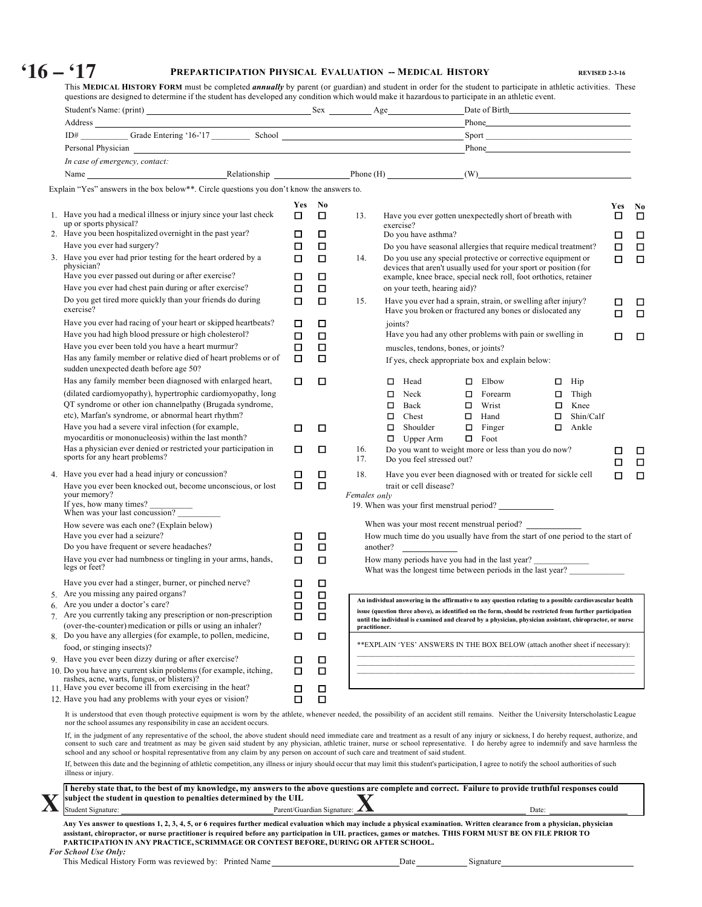# **'16 – '17 PREPARTICIPATION PHYSICAL EVALUATION -- MEDICAL HISTORY REVISED 2-3-16**

| Personal Physician experience and the contract of the contract of the contract of the contract of the contract of the contract of the contract of the contract of the contract of the contract of the contract of the contract                                                                                                                                                             |             |                                     |               |                                               |                                                                                                                                |                     |        |
|--------------------------------------------------------------------------------------------------------------------------------------------------------------------------------------------------------------------------------------------------------------------------------------------------------------------------------------------------------------------------------------------|-------------|-------------------------------------|---------------|-----------------------------------------------|--------------------------------------------------------------------------------------------------------------------------------|---------------------|--------|
| In case of emergency, contact:                                                                                                                                                                                                                                                                                                                                                             |             |                                     |               |                                               |                                                                                                                                |                     |        |
|                                                                                                                                                                                                                                                                                                                                                                                            |             |                                     |               |                                               |                                                                                                                                |                     |        |
| Explain "Yes" answers in the box below**. Circle questions you don't know the answers to.                                                                                                                                                                                                                                                                                                  |             |                                     |               |                                               |                                                                                                                                |                     |        |
|                                                                                                                                                                                                                                                                                                                                                                                            |             | Yes No                              |               |                                               |                                                                                                                                |                     | Yes No |
| 1. Have you had a medical illness or injury since your last check                                                                                                                                                                                                                                                                                                                          | □           | □                                   | 13.           |                                               | Have you ever gotten unexpectedly short of breath with                                                                         |                     | □      |
| up or sports physical?                                                                                                                                                                                                                                                                                                                                                                     |             |                                     |               | exercise?                                     |                                                                                                                                |                     |        |
| 2. Have you been hospitalized overnight in the past year?<br>Have you ever had surgery?                                                                                                                                                                                                                                                                                                    | □           | □                                   |               | Do you have asthma?                           |                                                                                                                                |                     | □      |
| 3. Have you ever had prior testing for the heart ordered by a                                                                                                                                                                                                                                                                                                                              | □<br>$\Box$ | □<br>□                              | 14.           |                                               | Do you have seasonal allergies that require medical treatment?<br>Do you use any special protective or corrective equipment or |                     | □<br>□ |
| physician?                                                                                                                                                                                                                                                                                                                                                                                 |             |                                     |               |                                               | devices that aren't usually used for your sport or position (for                                                               |                     |        |
| Have you ever passed out during or after exercise?                                                                                                                                                                                                                                                                                                                                         | ◻           | □                                   |               |                                               | example, knee brace, special neck roll, foot orthotics, retainer                                                               |                     |        |
| Have you ever had chest pain during or after exercise?                                                                                                                                                                                                                                                                                                                                     | □           | □                                   |               | on your teeth, hearing aid)?                  |                                                                                                                                |                     |        |
| Do you get tired more quickly than your friends do during<br>exercise?                                                                                                                                                                                                                                                                                                                     | □           | □                                   | 15.           |                                               | Have you ever had a sprain, strain, or swelling after injury?<br>Have you broken or fractured any bones or dislocated any      |                     | □<br>п |
| Have you ever had racing of your heart or skipped heartbeats?                                                                                                                                                                                                                                                                                                                              | □           | □                                   |               | joints?                                       |                                                                                                                                |                     |        |
| Have you had high blood pressure or high cholesterol?                                                                                                                                                                                                                                                                                                                                      | □           | □                                   |               |                                               | Have you had any other problems with pain or swelling in                                                                       |                     | □      |
| Have you ever been told you have a heart murmur?<br>Has any family member or relative died of heart problems or of                                                                                                                                                                                                                                                                         | □<br>П      | □<br>□                              |               | muscles, tendons, bones, or joints?           |                                                                                                                                |                     |        |
| sudden unexpected death before age 50?                                                                                                                                                                                                                                                                                                                                                     |             |                                     |               |                                               | If yes, check appropriate box and explain below:                                                                               |                     |        |
| Has any family member been diagnosed with enlarged heart,                                                                                                                                                                                                                                                                                                                                  | □           | □                                   |               | $\Box$ Head                                   | $\Box$ Elbow                                                                                                                   | $\Box$ Hip          |        |
| (dilated cardiomyopathy), hypertrophic cardiomyopathy, long                                                                                                                                                                                                                                                                                                                                |             |                                     |               | $\Box$<br>Neck                                | $\Box$<br>Forearm                                                                                                              | $\Box$ Thigh        |        |
| QT syndrome or other ion channelpathy (Brugada syndrome,                                                                                                                                                                                                                                                                                                                                   |             |                                     |               | $\Box$<br>Back                                | Wrist<br>$\Box$                                                                                                                | $\Box$ Knee         |        |
| etc), Marfan's syndrome, or abnormal heart rhythm?                                                                                                                                                                                                                                                                                                                                         |             |                                     |               | $\Box$ Chest                                  | $\Box$ Hand                                                                                                                    | Shin/Calf<br>$\Box$ |        |
| Have you had a severe viral infection (for example,                                                                                                                                                                                                                                                                                                                                        | □           | □                                   |               | $\Box$ Shoulder                               | $\Box$<br>Finger                                                                                                               | $\Box$ Ankle        |        |
| myocarditis or mononucleosis) within the last month?<br>Has a physician ever denied or restricted your participation in<br>sports for any heart problems?                                                                                                                                                                                                                                  | □           | □                                   | 16.<br>17.    | $\Box$ Upper Arm<br>Do you feel stressed out? | Foot<br>Π.<br>Do you want to weight more or less than you do now?                                                              |                     | □      |
| 4. Have you ever had a head injury or concussion?                                                                                                                                                                                                                                                                                                                                          | □           | □                                   | 18.           |                                               | Have you ever been diagnosed with or treated for sickle cell                                                                   |                     | П      |
| Have you ever been knocked out, become unconscious, or lost                                                                                                                                                                                                                                                                                                                                | п           | 口                                   |               | trait or cell disease?                        |                                                                                                                                |                     | п      |
| your memory?                                                                                                                                                                                                                                                                                                                                                                               |             |                                     | Females only  |                                               |                                                                                                                                |                     |        |
| If yes, how many times?<br>When was your last concussion?                                                                                                                                                                                                                                                                                                                                  |             |                                     |               |                                               | 19. When was your first menstrual period?                                                                                      |                     |        |
| How severe was each one? (Explain below)                                                                                                                                                                                                                                                                                                                                                   |             |                                     |               |                                               | When was your most recent menstrual period?                                                                                    |                     |        |
| Have you ever had a seizure?                                                                                                                                                                                                                                                                                                                                                               | □           | □                                   |               |                                               | How much time do you usually have from the start of one period to the start of                                                 |                     |        |
| Do you have frequent or severe headaches?                                                                                                                                                                                                                                                                                                                                                  | П           | $\Box$                              |               | another?                                      |                                                                                                                                |                     |        |
| Have you ever had numbness or tingling in your arms, hands,                                                                                                                                                                                                                                                                                                                                | п           | □                                   |               |                                               | How many periods have you had in the last year?                                                                                |                     |        |
| legs or feet?                                                                                                                                                                                                                                                                                                                                                                              |             |                                     |               |                                               | What was the longest time between periods in the last year?                                                                    |                     |        |
| Have you ever had a stinger, burner, or pinched nerve?<br>Are you missing any paired organs?                                                                                                                                                                                                                                                                                               | □           | □                                   |               |                                               |                                                                                                                                |                     |        |
| 6. Are you under a doctor's care?                                                                                                                                                                                                                                                                                                                                                          | $\Box$<br>◻ | $\Box$<br>□                         |               |                                               | An individual answering in the affirmative to any question relating to a possible cardiovascular health                        |                     |        |
| 7 Are you currently taking any prescription or non-prescription                                                                                                                                                                                                                                                                                                                            | ◻           | □                                   |               |                                               | issue (question three above), as identified on the form, should be restricted from further participation                       |                     |        |
| (over-the-counter) medication or pills or using an inhaler?                                                                                                                                                                                                                                                                                                                                |             |                                     | practitioner. |                                               | until the individual is examined and cleared by a physician, physician assistant, chiropractor, or nurse                       |                     |        |
| Do you have any allergies (for example, to pollen, medicine,                                                                                                                                                                                                                                                                                                                               | □           | $\Box$                              |               |                                               | ** EXPLAIN 'YES' ANSWERS IN THE BOX BELOW (attach another sheet if necessary):                                                 |                     |        |
| food, or stinging insects)?                                                                                                                                                                                                                                                                                                                                                                |             |                                     |               |                                               |                                                                                                                                |                     |        |
| 9. Have you ever been dizzy during or after exercise?<br>10. Do you have any current skin problems (for example, itching,                                                                                                                                                                                                                                                                  | □<br>□      | □<br>□                              |               |                                               |                                                                                                                                |                     |        |
| rashes, acne, warts, fungus, or blisters)?                                                                                                                                                                                                                                                                                                                                                 |             |                                     |               |                                               |                                                                                                                                |                     |        |
| 11. Have you ever become ill from exercising in the heat?                                                                                                                                                                                                                                                                                                                                  | □           | □                                   |               |                                               |                                                                                                                                |                     |        |
| 12. Have you had any problems with your eyes or vision?                                                                                                                                                                                                                                                                                                                                    | □           | □                                   |               |                                               |                                                                                                                                |                     |        |
| It is understood that even though protective equipment is worn by the athlete, whenever needed, the possibility of an accident still remains. Neither the University Interscholastic League<br>nor the school assumes any responsibility in case an accident occurs.                                                                                                                       |             |                                     |               |                                               |                                                                                                                                |                     |        |
| If, in the judgment of any representative of the school, the above student should need immediate care and treatment as a result of any injury or sickness, I do hereby request, authorize, and<br>consent to such care and treatment as may be given said student by any physician, athletic trainer, nurse or school representative. I do hereby agree to indemnify and save harmless the |             |                                     |               |                                               |                                                                                                                                |                     |        |
| school and any school or hospital representative from any claim by any person on account of such care and treatment of said student.<br>If, between this date and the beginning of athletic competition, any illness or injury should occur that may limit this student's participation, I agree to notify the school authorities of such                                                  |             |                                     |               |                                               |                                                                                                                                |                     |        |
| illness or injury.                                                                                                                                                                                                                                                                                                                                                                         |             |                                     |               |                                               |                                                                                                                                |                     |        |
| I hereby state that, to the best of my knowledge, my answers to the above questions are complete and correct. Failure to provide truthful responses could<br>subject the student in question to penalties determined by the UIL                                                                                                                                                            |             |                                     |               |                                               |                                                                                                                                |                     |        |
| Student Signature:                                                                                                                                                                                                                                                                                                                                                                         |             | Parent/Guardian Signature: $\angle$ |               |                                               | Date:                                                                                                                          |                     |        |
| Any Yes answer to questions 1, 2, 3, 4, 5, or 6 requires further medical evaluation which may include a physical examination. Written clearance from a physician, physician                                                                                                                                                                                                                |             |                                     |               |                                               |                                                                                                                                |                     |        |
|                                                                                                                                                                                                                                                                                                                                                                                            |             |                                     |               |                                               |                                                                                                                                |                     |        |
| assistant, chiropractor, or nurse practitioner is required before any participation in UIL practices, games or matches. THIS FORM MUST BE ON FILE PRIOR TO                                                                                                                                                                                                                                 |             |                                     |               |                                               |                                                                                                                                |                     |        |
| PARTICIPATION IN ANY PRACTICE, SCRIMMAGE OR CONTEST BEFORE, DURING OR AFTER SCHOOL.<br><b>For School Use Only:</b>                                                                                                                                                                                                                                                                         |             |                                     |               |                                               |                                                                                                                                |                     |        |